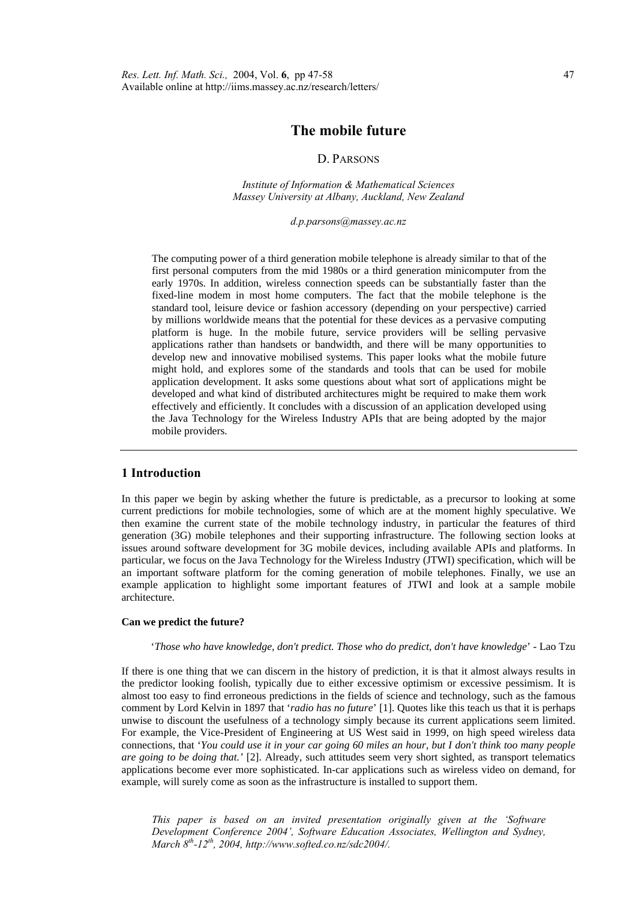# **The mobile future**

## D. PARSONS

*Institute of Information & Mathematical Sciences Massey University at Albany, Auckland, New Zealand* 

*d.p.parsons@massey.ac.nz* 

The computing power of a third generation mobile telephone is already similar to that of the first personal computers from the mid 1980s or a third generation minicomputer from the early 1970s. In addition, wireless connection speeds can be substantially faster than the fixed-line modem in most home computers. The fact that the mobile telephone is the standard tool, leisure device or fashion accessory (depending on your perspective) carried by millions worldwide means that the potential for these devices as a pervasive computing platform is huge. In the mobile future, service providers will be selling pervasive applications rather than handsets or bandwidth, and there will be many opportunities to develop new and innovative mobilised systems. This paper looks what the mobile future might hold, and explores some of the standards and tools that can be used for mobile application development. It asks some questions about what sort of applications might be developed and what kind of distributed architectures might be required to make them work effectively and efficiently. It concludes with a discussion of an application developed using the Java Technology for the Wireless Industry APIs that are being adopted by the major mobile providers.

# **1 Introduction**

In this paper we begin by asking whether the future is predictable, as a precursor to looking at some current predictions for mobile technologies, some of which are at the moment highly speculative. We then examine the current state of the mobile technology industry, in particular the features of third generation (3G) mobile telephones and their supporting infrastructure. The following section looks at issues around software development for 3G mobile devices, including available APIs and platforms. In particular, we focus on the Java Technology for the Wireless Industry (JTWI) specification, which will be an important software platform for the coming generation of mobile telephones. Finally, we use an example application to highlight some important features of JTWI and look at a sample mobile architecture.

### **Can we predict the future?**

#### '*Those who have knowledge, don't predict. Those who do predict, don't have knowledge*' - Lao Tzu

If there is one thing that we can discern in the history of prediction, it is that it almost always results in the predictor looking foolish, typically due to either excessive optimism or excessive pessimism. It is almost too easy to find erroneous predictions in the fields of science and technology, such as the famous comment by Lord Kelvin in 1897 that '*radio has no future*' [1]. Quotes like this teach us that it is perhaps unwise to discount the usefulness of a technology simply because its current applications seem limited. For example, the Vice-President of Engineering at US West said in 1999, on high speed wireless data connections, that '*You could use it in your car going 60 miles an hour, but I don't think too many people are going to be doing that.'* [2]. Already, such attitudes seem very short sighted, as transport telematics applications become ever more sophisticated. In-car applications such as wireless video on demand, for example, will surely come as soon as the infrastructure is installed to support them.

*This paper is based on an invited presentation originally given at the 'Software Development Conference 2004', Software Education Associates, Wellington and Sydney, March 8th-12th, 2004, http://www.softed.co.nz/sdc2004/.*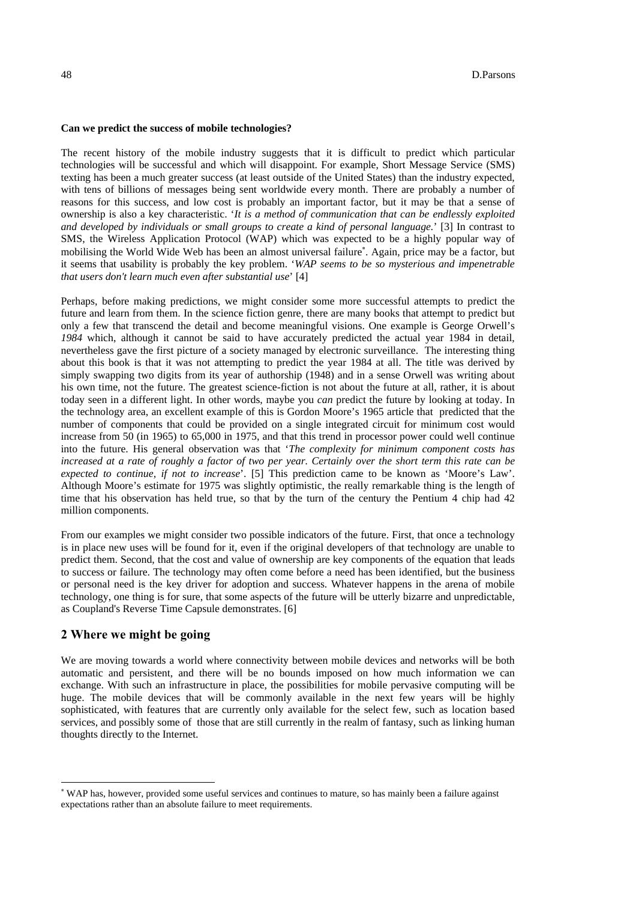#### **Can we predict the success of mobile technologies?**

The recent history of the mobile industry suggests that it is difficult to predict which particular technologies will be successful and which will disappoint. For example, Short Message Service (SMS) texting has been a much greater success (at least outside of the United States) than the industry expected, with tens of billions of messages being sent worldwide every month. There are probably a number of reasons for this success, and low cost is probably an important factor, but it may be that a sense of ownership is also a key characteristic. '*It is a method of communication that can be endlessly exploited and developed by individuals or small groups to create a kind of personal language.*' [3] In contrast to SMS, the Wireless Application Protocol (WAP) which was expected to be a highly popular way of mobilising the World Wide Web has been an almost universal failure<sup>∗</sup>. Again, price may be a factor, but it seems that usability is probably the key problem. '*WAP seems to be so mysterious and impenetrable that users don't learn much even after substantial use*' [4]

Perhaps, before making predictions, we might consider some more successful attempts to predict the future and learn from them. In the science fiction genre, there are many books that attempt to predict but only a few that transcend the detail and become meaningful visions. One example is George Orwell's *1984* which, although it cannot be said to have accurately predicted the actual year 1984 in detail, nevertheless gave the first picture of a society managed by electronic surveillance. The interesting thing about this book is that it was not attempting to predict the year 1984 at all. The title was derived by simply swapping two digits from its year of authorship (1948) and in a sense Orwell was writing about his own time, not the future. The greatest science-fiction is not about the future at all, rather, it is about today seen in a different light. In other words, maybe you *can* predict the future by looking at today. In the technology area, an excellent example of this is Gordon Moore's 1965 article that predicted that the number of components that could be provided on a single integrated circuit for minimum cost would increase from 50 (in 1965) to 65,000 in 1975, and that this trend in processor power could well continue into the future. His general observation was that '*The complexity for minimum component costs has increased at a rate of roughly a factor of two per year. Certainly over the short term this rate can be expected to continue, if not to increase*'. [5] This prediction came to be known as 'Moore's Law'. Although Moore's estimate for 1975 was slightly optimistic, the really remarkable thing is the length of time that his observation has held true, so that by the turn of the century the Pentium 4 chip had 42 million components.

From our examples we might consider two possible indicators of the future. First, that once a technology is in place new uses will be found for it, even if the original developers of that technology are unable to predict them. Second, that the cost and value of ownership are key components of the equation that leads to success or failure. The technology may often come before a need has been identified, but the business or personal need is the key driver for adoption and success. Whatever happens in the arena of mobile technology, one thing is for sure, that some aspects of the future will be utterly bizarre and unpredictable, as Coupland's Reverse Time Capsule demonstrates. [6]

## **2 Where we might be going**

 $\overline{\phantom{a}}$ 

We are moving towards a world where connectivity between mobile devices and networks will be both automatic and persistent, and there will be no bounds imposed on how much information we can exchange. With such an infrastructure in place, the possibilities for mobile pervasive computing will be huge. The mobile devices that will be commonly available in the next few years will be highly sophisticated, with features that are currently only available for the select few, such as location based services, and possibly some of those that are still currently in the realm of fantasy, such as linking human thoughts directly to the Internet.

<sup>∗</sup> WAP has, however, provided some useful services and continues to mature, so has mainly been a failure against expectations rather than an absolute failure to meet requirements.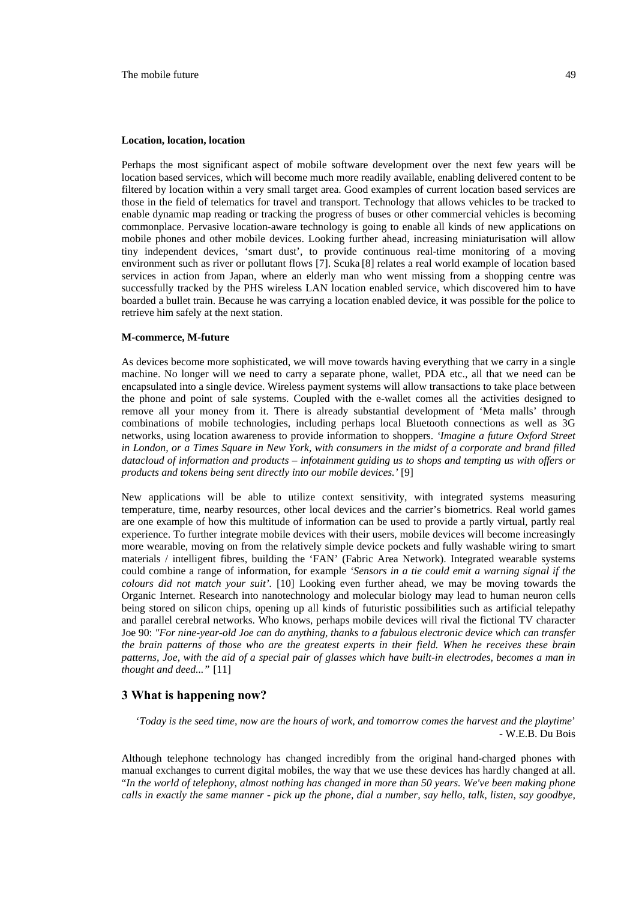#### **Location, location, location**

Perhaps the most significant aspect of mobile software development over the next few years will be location based services, which will become much more readily available, enabling delivered content to be filtered by location within a very small target area. Good examples of current location based services are those in the field of telematics for travel and transport. Technology that allows vehicles to be tracked to enable dynamic map reading or tracking the progress of buses or other commercial vehicles is becoming commonplace. Pervasive location-aware technology is going to enable all kinds of new applications on mobile phones and other mobile devices. Looking further ahead, increasing miniaturisation will allow tiny independent devices, 'smart dust', to provide continuous real-time monitoring of a moving environment such as river or pollutant flows [7]. Scuka [8] relates a real world example of location based services in action from Japan, where an elderly man who went missing from a shopping centre was successfully tracked by the PHS wireless LAN location enabled service, which discovered him to have boarded a bullet train. Because he was carrying a location enabled device, it was possible for the police to retrieve him safely at the next station.

#### **M-commerce, M-future**

As devices become more sophisticated, we will move towards having everything that we carry in a single machine. No longer will we need to carry a separate phone, wallet, PDA etc., all that we need can be encapsulated into a single device. Wireless payment systems will allow transactions to take place between the phone and point of sale systems. Coupled with the e-wallet comes all the activities designed to remove all your money from it. There is already substantial development of 'Meta malls' through combinations of mobile technologies, including perhaps local Bluetooth connections as well as 3G networks, using location awareness to provide information to shoppers. *'Imagine a future Oxford Street in London, or a Times Square in New York, with consumers in the midst of a corporate and brand filled datacloud of information and products – infotainment guiding us to shops and tempting us with offers or products and tokens being sent directly into our mobile devices.'* [9]

New applications will be able to utilize context sensitivity, with integrated systems measuring temperature, time, nearby resources, other local devices and the carrier's biometrics. Real world games are one example of how this multitude of information can be used to provide a partly virtual, partly real experience. To further integrate mobile devices with their users, mobile devices will become increasingly more wearable, moving on from the relatively simple device pockets and fully washable wiring to smart materials / intelligent fibres, building the 'FAN' (Fabric Area Network). Integrated wearable systems could combine a range of information, for example *'Sensors in a tie could emit a warning signal if the colours did not match your suit'.* [10] Looking even further ahead, we may be moving towards the Organic Internet. Research into nanotechnology and molecular biology may lead to human neuron cells being stored on silicon chips, opening up all kinds of futuristic possibilities such as artificial telepathy and parallel cerebral networks. Who knows, perhaps mobile devices will rival the fictional TV character Joe 90: *"For nine-year-old Joe can do anything, thanks to a fabulous electronic device which can transfer the brain patterns of those who are the greatest experts in their field. When he receives these brain patterns, Joe, with the aid of a special pair of glasses which have built-in electrodes, becomes a man in thought and deed..."* [11]

### **3 What is happening now?**

'*Today is the seed time, now are the hours of work, and tomorrow comes the harvest and the playtime*' - W.E.B. Du Bois

Although telephone technology has changed incredibly from the original hand-charged phones with manual exchanges to current digital mobiles, the way that we use these devices has hardly changed at all. "*In the world of telephony, almost nothing has changed in more than 50 years. We've been making phone calls in exactly the same manner - pick up the phone, dial a number, say hello, talk, listen, say goodbye,*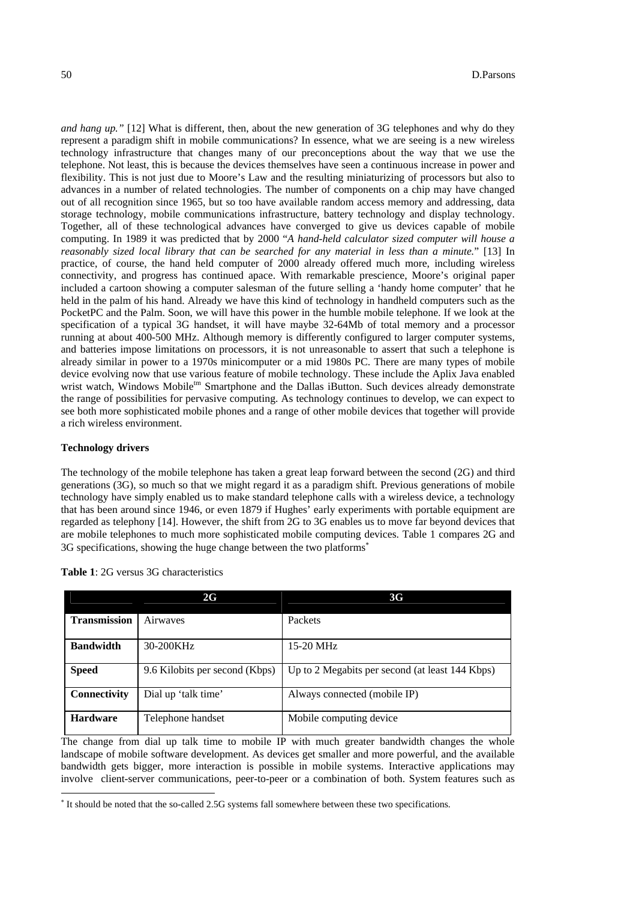*and hang up.*" [12] What is different, then, about the new generation of 3G telephones and why do they represent a paradigm shift in mobile communications? In essence, what we are seeing is a new wireless technology infrastructure that changes many of our preconceptions about the way that we use the telephone. Not least, this is because the devices themselves have seen a continuous increase in power and flexibility. This is not just due to Moore's Law and the resulting miniaturizing of processors but also to advances in a number of related technologies. The number of components on a chip may have changed out of all recognition since 1965, but so too have available random access memory and addressing, data storage technology, mobile communications infrastructure, battery technology and display technology. Together, all of these technological advances have converged to give us devices capable of mobile computing. In 1989 it was predicted that by 2000 "*A hand-held calculator sized computer will house a reasonably sized local library that can be searched for any material in less than a minute.*" [13] In practice, of course, the hand held computer of 2000 already offered much more, including wireless connectivity, and progress has continued apace. With remarkable prescience, Moore's original paper included a cartoon showing a computer salesman of the future selling a 'handy home computer' that he held in the palm of his hand. Already we have this kind of technology in handheld computers such as the PocketPC and the Palm. Soon, we will have this power in the humble mobile telephone. If we look at the specification of a typical 3G handset, it will have maybe 32-64Mb of total memory and a processor running at about 400-500 MHz. Although memory is differently configured to larger computer systems, and batteries impose limitations on processors, it is not unreasonable to assert that such a telephone is already similar in power to a 1970s minicomputer or a mid 1980s PC. There are many types of mobile device evolving now that use various feature of mobile technology. These include the Aplix Java enabled wrist watch, Windows Mobile<sup>tm</sup> Smartphone and the Dallas iButton. Such devices already demonstrate the range of possibilities for pervasive computing. As technology continues to develop, we can expect to see both more sophisticated mobile phones and a range of other mobile devices that together will provide a rich wireless environment.

### **Technology drivers**

 $\overline{\phantom{a}}$ 

The technology of the mobile telephone has taken a great leap forward between the second (2G) and third generations (3G), so much so that we might regard it as a paradigm shift. Previous generations of mobile technology have simply enabled us to make standard telephone calls with a wireless device, a technology that has been around since 1946, or even 1879 if Hughes' early experiments with portable equipment are regarded as telephony [14]. However, the shift from 2G to 3G enables us to move far beyond devices that are mobile telephones to much more sophisticated mobile computing devices. Table 1 compares 2G and 3G specifications, showing the huge change between the two platforms<sup>∗</sup>

|                     | 2G                             | 3G                                              |
|---------------------|--------------------------------|-------------------------------------------------|
| <b>Transmission</b> | Airwaves                       | Packets                                         |
| <b>Bandwidth</b>    | 30-200KHz                      | $15-20$ MHz                                     |
| <b>Speed</b>        | 9.6 Kilobits per second (Kbps) | Up to 2 Megabits per second (at least 144 Kbps) |
| Connectivity        | Dial up 'talk time'            | Always connected (mobile IP)                    |
| <b>Hardware</b>     | Telephone handset              | Mobile computing device.                        |

**Table 1**: 2G versus 3G characteristics

The change from dial up talk time to mobile IP with much greater bandwidth changes the whole landscape of mobile software development. As devices get smaller and more powerful, and the available bandwidth gets bigger, more interaction is possible in mobile systems. Interactive applications may involve client-server communications, peer-to-peer or a combination of both. System features such as

<sup>∗</sup> It should be noted that the so-called 2.5G systems fall somewhere between these two specifications.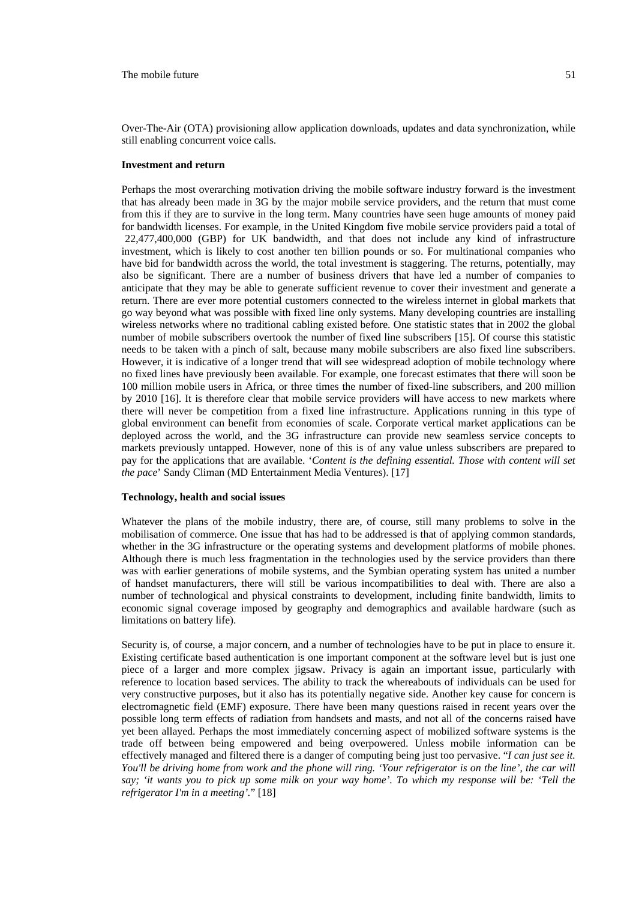Over-The-Air (OTA) provisioning allow application downloads, updates and data synchronization, while still enabling concurrent voice calls.

#### **Investment and return**

Perhaps the most overarching motivation driving the mobile software industry forward is the investment that has already been made in 3G by the major mobile service providers, and the return that must come from this if they are to survive in the long term. Many countries have seen huge amounts of money paid for bandwidth licenses. For example, in the United Kingdom five mobile service providers paid a total of 22,477,400,000 (GBP) for UK bandwidth, and that does not include any kind of infrastructure investment, which is likely to cost another ten billion pounds or so. For multinational companies who have bid for bandwidth across the world, the total investment is staggering. The returns, potentially, may also be significant. There are a number of business drivers that have led a number of companies to anticipate that they may be able to generate sufficient revenue to cover their investment and generate a return. There are ever more potential customers connected to the wireless internet in global markets that go way beyond what was possible with fixed line only systems. Many developing countries are installing wireless networks where no traditional cabling existed before. One statistic states that in 2002 the global number of mobile subscribers overtook the number of fixed line subscribers [15]. Of course this statistic needs to be taken with a pinch of salt, because many mobile subscribers are also fixed line subscribers. However, it is indicative of a longer trend that will see widespread adoption of mobile technology where no fixed lines have previously been available. For example, one forecast estimates that there will soon be 100 million mobile users in Africa, or three times the number of fixed-line subscribers, and 200 million by 2010 [16]. It is therefore clear that mobile service providers will have access to new markets where there will never be competition from a fixed line infrastructure. Applications running in this type of global environment can benefit from economies of scale. Corporate vertical market applications can be deployed across the world, and the 3G infrastructure can provide new seamless service concepts to markets previously untapped. However, none of this is of any value unless subscribers are prepared to pay for the applications that are available. 'Content is the defining essential. Those with content will set *the pace*' Sandy Climan (MD Entertainment Media Ventures). [17]

### **Technology, health and social issues**

Whatever the plans of the mobile industry, there are, of course, still many problems to solve in the mobilisation of commerce. One issue that has had to be addressed is that of applying common standards, whether in the 3G infrastructure or the operating systems and development platforms of mobile phones. Although there is much less fragmentation in the technologies used by the service providers than there was with earlier generations of mobile systems, and the Symbian operating system has united a number of handset manufacturers, there will still be various incompatibilities to deal with. There are also a number of technological and physical constraints to development, including finite bandwidth, limits to economic signal coverage imposed by geography and demographics and available hardware (such as limitations on battery life).

Security is, of course, a major concern, and a number of technologies have to be put in place to ensure it. Existing certificate based authentication is one important component at the software level but is just one piece of a larger and more complex jigsaw. Privacy is again an important issue, particularly with reference to location based services. The ability to track the whereabouts of individuals can be used for very constructive purposes, but it also has its potentially negative side. Another key cause for concern is electromagnetic field (EMF) exposure. There have been many questions raised in recent years over the possible long term effects of radiation from handsets and masts, and not all of the concerns raised have yet been allayed. Perhaps the most immediately concerning aspect of mobilized software systems is the trade off between being empowered and being overpowered. Unless mobile information can be effectively managed and filtered there is a danger of computing being just too pervasive. "*I can just see it. You'll be driving home from work and the phone will ring. 'Your refrigerator is on the line', the car will say; 'it wants you to pick up some milk on your way home'. To which my response will be: 'Tell the refrigerator I'm in a meeting'.*" [18]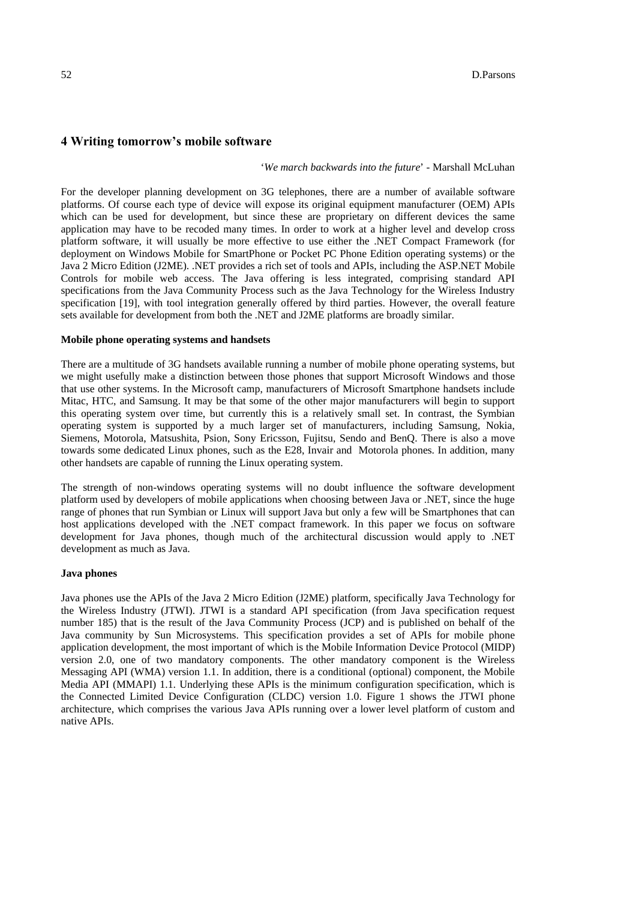### **4 Writing tomorrow's mobile software**

'*We march backwards into the future*' - Marshall McLuhan

For the developer planning development on 3G telephones, there are a number of available software platforms. Of course each type of device will expose its original equipment manufacturer (OEM) APIs which can be used for development, but since these are proprietary on different devices the same application may have to be recoded many times. In order to work at a higher level and develop cross platform software, it will usually be more effective to use either the .NET Compact Framework (for deployment on Windows Mobile for SmartPhone or Pocket PC Phone Edition operating systems) or the Java 2 Micro Edition (J2ME). .NET provides a rich set of tools and APIs, including the ASP.NET Mobile Controls for mobile web access. The Java offering is less integrated, comprising standard API specifications from the Java Community Process such as the Java Technology for the Wireless Industry specification [19], with tool integration generally offered by third parties. However, the overall feature sets available for development from both the .NET and J2ME platforms are broadly similar.

#### **Mobile phone operating systems and handsets**

There are a multitude of 3G handsets available running a number of mobile phone operating systems, but we might usefully make a distinction between those phones that support Microsoft Windows and those that use other systems. In the Microsoft camp, manufacturers of Microsoft Smartphone handsets include Mitac, HTC, and Samsung. It may be that some of the other major manufacturers will begin to support this operating system over time, but currently this is a relatively small set. In contrast, the Symbian operating system is supported by a much larger set of manufacturers, including Samsung, Nokia, Siemens, Motorola, Matsushita, Psion, Sony Ericsson, Fujitsu, Sendo and BenQ. There is also a move towards some dedicated Linux phones, such as the E28, Invair and Motorola phones. In addition, many other handsets are capable of running the Linux operating system.

The strength of non-windows operating systems will no doubt influence the software development platform used by developers of mobile applications when choosing between Java or .NET, since the huge range of phones that run Symbian or Linux will support Java but only a few will be Smartphones that can host applications developed with the .NET compact framework. In this paper we focus on software development for Java phones, though much of the architectural discussion would apply to .NET development as much as Java.

### **Java phones**

Java phones use the APIs of the Java 2 Micro Edition (J2ME) platform, specifically Java Technology for the Wireless Industry (JTWI). JTWI is a standard API specification (from Java specification request number 185) that is the result of the Java Community Process (JCP) and is published on behalf of the Java community by Sun Microsystems. This specification provides a set of APIs for mobile phone application development, the most important of which is the Mobile Information Device Protocol (MIDP) version 2.0, one of two mandatory components. The other mandatory component is the Wireless Messaging API (WMA) version 1.1. In addition, there is a conditional (optional) component, the Mobile Media API (MMAPI) 1.1. Underlying these APIs is the minimum configuration specification, which is the Connected Limited Device Configuration (CLDC) version 1.0. Figure 1 shows the JTWI phone architecture, which comprises the various Java APIs running over a lower level platform of custom and native APIs.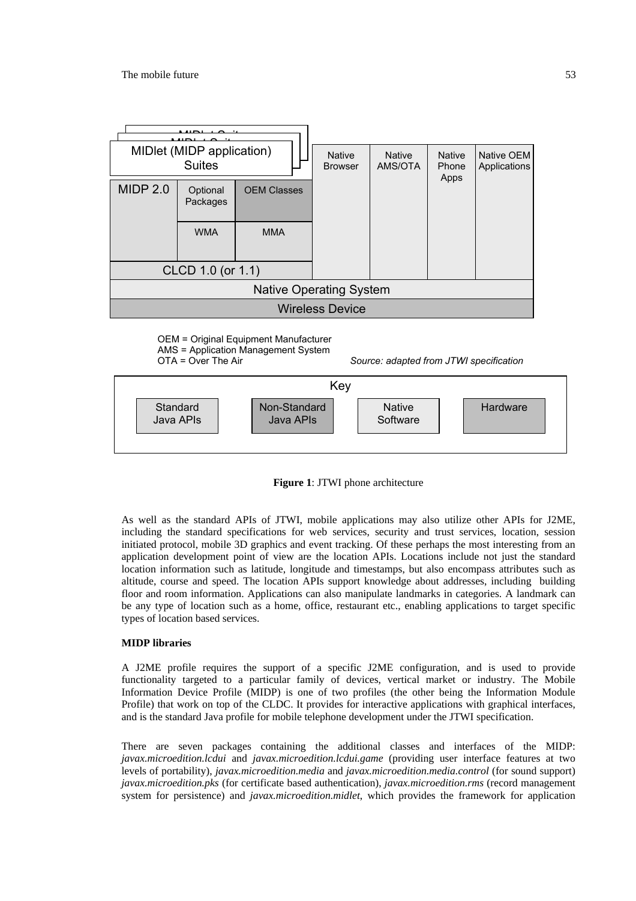

OEM = Original Equipment Manufacturer AMS = Application Management System

OTA = Over The Air *Source: adapted from JTWI specification* 





As well as the standard APIs of JTWI, mobile applications may also utilize other APIs for J2ME, including the standard specifications for web services, security and trust services, location, session initiated protocol, mobile 3D graphics and event tracking. Of these perhaps the most interesting from an application development point of view are the location APIs. Locations include not just the standard location information such as latitude, longitude and timestamps, but also encompass attributes such as altitude, course and speed. The location APIs support knowledge about addresses, including building floor and room information. Applications can also manipulate landmarks in categories. A landmark can be any type of location such as a home, office, restaurant etc., enabling applications to target specific types of location based services.

# **MIDP libraries**

A J2ME profile requires the support of a specific J2ME configuration, and is used to provide functionality targeted to a particular family of devices, vertical market or industry. The Mobile Information Device Profile (MIDP) is one of two profiles (the other being the Information Module Profile) that work on top of the CLDC. It provides for interactive applications with graphical interfaces, and is the standard Java profile for mobile telephone development under the JTWI specification.

There are seven packages containing the additional classes and interfaces of the MIDP: *javax.microedition.lcdui* and *javax.microedition.lcdui.game* (providing user interface features at two levels of portability), *javax.microedition.media* and *javax.microedition.media.control* (for sound support) *javax.microedition.pks* (for certificate based authentication), *javax.microedition.rms* (record management system for persistence) and *javax.microedition.midlet*, which provides the framework for application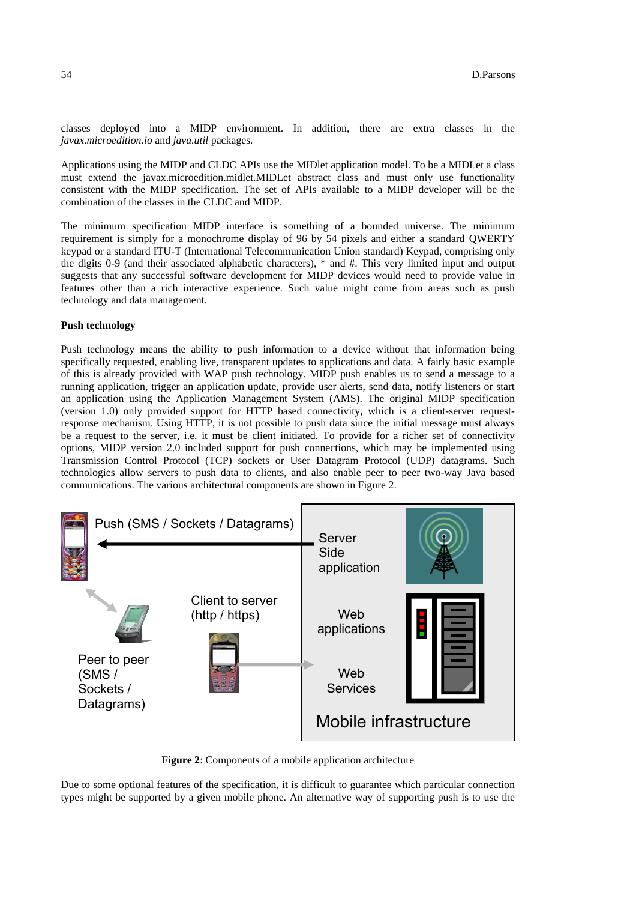classes deployed into a MIDP environment. In addition, there are extra classes in the *javax.microedition.io* and *java.util* packages.

Applications using the MIDP and CLDC APIs use the MIDlet application model. To be a MIDLet a class must extend the javax.microedition.midlet.MIDLet abstract class and must only use functionality consistent with the MIDP specification. The set of APIs available to a MIDP developer will be the combination of the classes in the CLDC and MIDP.

The minimum specification MIDP interface is something of a bounded universe. The minimum requirement is simply for a monochrome display of 96 by 54 pixels and either a standard QWERTY keypad or a standard ITU-T (International Telecommunication Union standard) Keypad, comprising only the digits 0-9 (and their associated alphabetic characters), \* and #. This very limited input and output suggests that any successful software development for MIDP devices would need to provide value in features other than a rich interactive experience. Such value might come from areas such as push technology and data management.

# **Push technology**

Push technology means the ability to push information to a device without that information being specifically requested, enabling live, transparent updates to applications and data. A fairly basic example of this is already provided with WAP push technology. MIDP push enables us to send a message to a running application, trigger an application update, provide user alerts, send data, notify listeners or start an application using the Application Management System (AMS). The original MIDP specification (version 1.0) only provided support for HTTP based connectivity, which is a client-server requestresponse mechanism. Using HTTP, it is not possible to push data since the initial message must always be a request to the server, i.e. it must be client initiated. To provide for a richer set of connectivity options, MIDP version 2.0 included support for push connections, which may be implemented using Transmission Control Protocol (TCP) sockets or User Datagram Protocol (UDP) datagrams. Such technologies allow servers to push data to clients, and also enable peer to peer two-way Java based communications. The various architectural components are shown in Figure 2.



**Figure 2**: Components of a mobile application architecture

Due to some optional features of the specification, it is difficult to guarantee which particular connection types might be supported by a given mobile phone. An alternative way of supporting push is to use the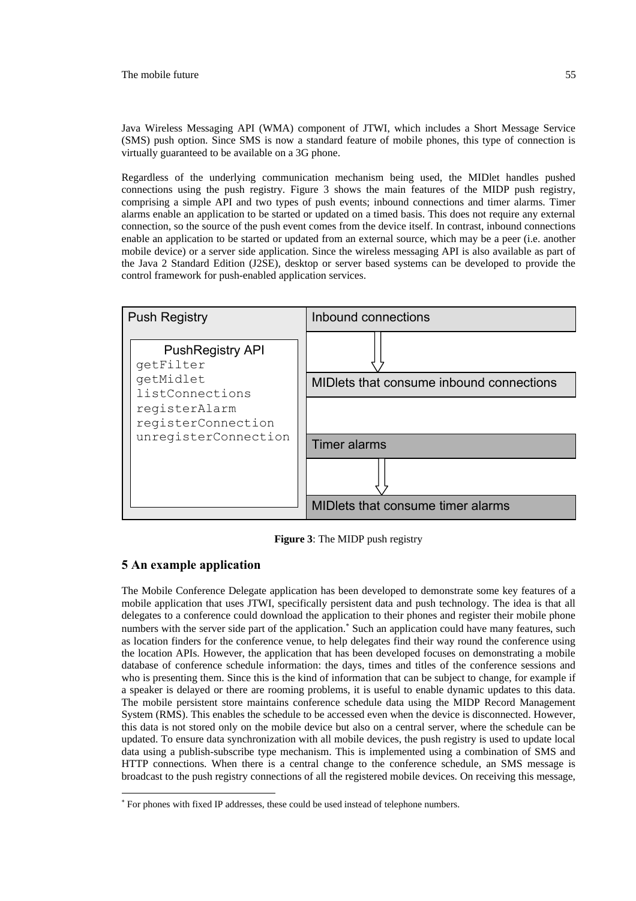Java Wireless Messaging API (WMA) component of JTWI, which includes a Short Message Service (SMS) push option. Since SMS is now a standard feature of mobile phones, this type of connection is virtually guaranteed to be available on a 3G phone.

Regardless of the underlying communication mechanism being used, the MIDlet handles pushed connections using the push registry. Figure 3 shows the main features of the MIDP push registry, comprising a simple API and two types of push events; inbound connections and timer alarms. Timer alarms enable an application to be started or updated on a timed basis. This does not require any external connection, so the source of the push event comes from the device itself. In contrast, inbound connections enable an application to be started or updated from an external source, which may be a peer (i.e. another mobile device) or a server side application. Since the wireless messaging API is also available as part of the Java 2 Standard Edition (J2SE), desktop or server based systems can be developed to provide the control framework for push-enabled application services.



**Figure 3**: The MIDP push registry

# **5 An example application**

 $\overline{\phantom{a}}$ 

The Mobile Conference Delegate application has been developed to demonstrate some key features of a mobile application that uses JTWI, specifically persistent data and push technology. The idea is that all delegates to a conference could download the application to their phones and register their mobile phone numbers with the server side part of the application.<sup>\*</sup> Such an application could have many features, such as location finders for the conference venue, to help delegates find their way round the conference using the location APIs. However, the application that has been developed focuses on demonstrating a mobile database of conference schedule information: the days, times and titles of the conference sessions and who is presenting them. Since this is the kind of information that can be subject to change, for example if a speaker is delayed or there are rooming problems, it is useful to enable dynamic updates to this data. The mobile persistent store maintains conference schedule data using the MIDP Record Management System (RMS). This enables the schedule to be accessed even when the device is disconnected. However, this data is not stored only on the mobile device but also on a central server, where the schedule can be updated. To ensure data synchronization with all mobile devices, the push registry is used to update local data using a publish-subscribe type mechanism. This is implemented using a combination of SMS and HTTP connections. When there is a central change to the conference schedule, an SMS message is broadcast to the push registry connections of all the registered mobile devices. On receiving this message,

<sup>∗</sup> For phones with fixed IP addresses, these could be used instead of telephone numbers.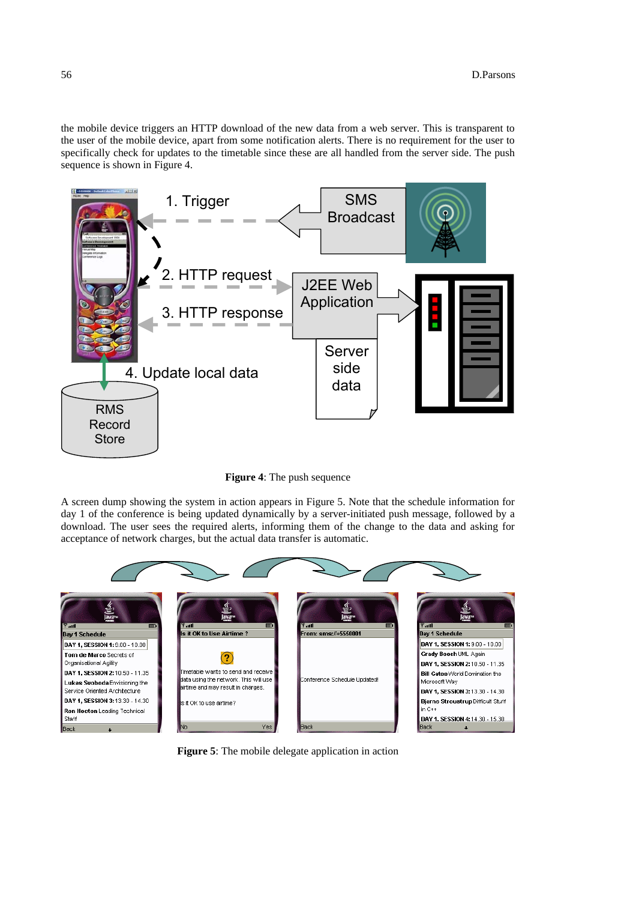the mobile device triggers an HTTP download of the new data from a web server. This is transparent to the user of the mobile device, apart from some notification alerts. There is no requirement for the user to specifically check for updates to the timetable since these are all handled from the server side. The push sequence is shown in Figure 4.



**Figure 4**: The push sequence

A screen dump showing the system in action appears in Figure 5. Note that the schedule information for day 1 of the conference is being updated dynamically by a server-initiated push message, followed by a download. The user sees the required alerts, informing them of the change to the data and asking for acceptance of network charges, but the actual data transfer is automatic.



**Figure 5**: The mobile delegate application in action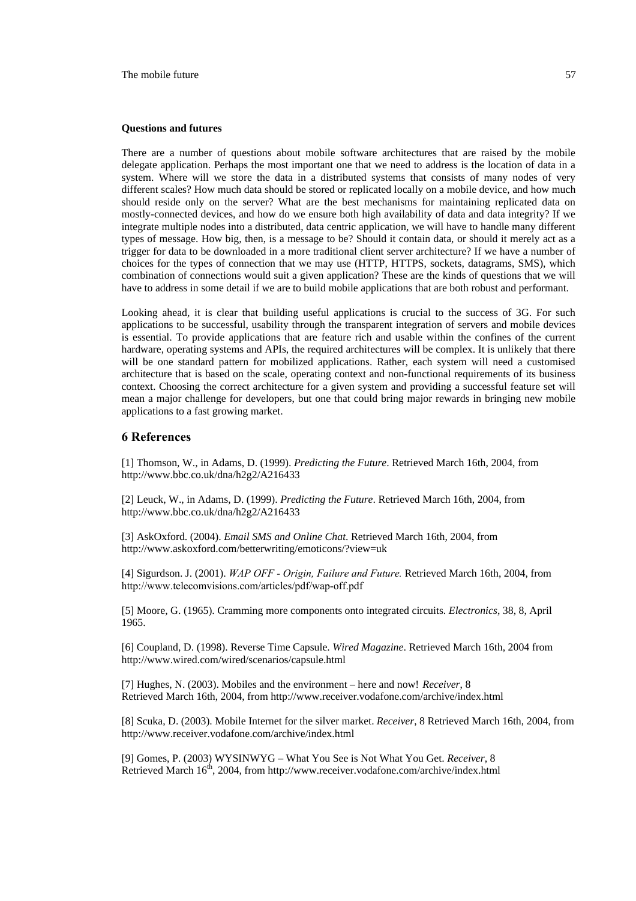#### **Questions and futures**

There are a number of questions about mobile software architectures that are raised by the mobile delegate application. Perhaps the most important one that we need to address is the location of data in a system. Where will we store the data in a distributed systems that consists of many nodes of very different scales? How much data should be stored or replicated locally on a mobile device, and how much should reside only on the server? What are the best mechanisms for maintaining replicated data on mostly-connected devices, and how do we ensure both high availability of data and data integrity? If we integrate multiple nodes into a distributed, data centric application, we will have to handle many different types of message. How big, then, is a message to be? Should it contain data, or should it merely act as a trigger for data to be downloaded in a more traditional client server architecture? If we have a number of choices for the types of connection that we may use (HTTP, HTTPS, sockets, datagrams, SMS), which combination of connections would suit a given application? These are the kinds of questions that we will have to address in some detail if we are to build mobile applications that are both robust and performant.

Looking ahead, it is clear that building useful applications is crucial to the success of 3G. For such applications to be successful, usability through the transparent integration of servers and mobile devices is essential. To provide applications that are feature rich and usable within the confines of the current hardware, operating systems and APIs, the required architectures will be complex. It is unlikely that there will be one standard pattern for mobilized applications. Rather, each system will need a customised architecture that is based on the scale, operating context and non-functional requirements of its business context. Choosing the correct architecture for a given system and providing a successful feature set will mean a major challenge for developers, but one that could bring major rewards in bringing new mobile applications to a fast growing market.

## **6 References**

[1] Thomson, W., in Adams, D. (1999). *Predicting the Future*. Retrieved March 16th, 2004, from http://www.bbc.co.uk/dna/h2g2/A216433

[2] Leuck, W., in Adams, D. (1999). *Predicting the Future*. Retrieved March 16th, 2004, from http://www.bbc.co.uk/dna/h2g2/A216433

[3] AskOxford. (2004). *Email SMS and Online Chat*. Retrieved March 16th, 2004, from http://www.askoxford.com/betterwriting/emoticons/?view=uk

[4] Sigurdson. J. (2001). *WAP OFF - Origin, Failure and Future.* Retrieved March 16th, 2004, from http://www.telecomvisions.com/articles/pdf/wap-off.pdf

[5] Moore, G. (1965). Cramming more components onto integrated circuits. *Electronics*, 38, 8, April 1965.

[6] Coupland, D. (1998). Reverse Time Capsule. *Wired Magazine*. Retrieved March 16th, 2004 from http://www.wired.com/wired/scenarios/capsule.html

[7] Hughes, N. (2003). Mobiles and the environment – here and now! *Receiver*, 8 Retrieved March 16th, 2004, from http://www.receiver.vodafone.com/archive/index.html

[8] Scuka, D. (2003). Mobile Internet for the silver market. *Receiver*, 8 Retrieved March 16th, 2004, from http://www.receiver.vodafone.com/archive/index.html

[9] Gomes, P. (2003) WYSINWYG – What You See is Not What You Get. *Receiver*, 8 Retrieved March  $16<sup>th</sup>$ , 2004, from http://www.receiver.vodafone.com/archive/index.html